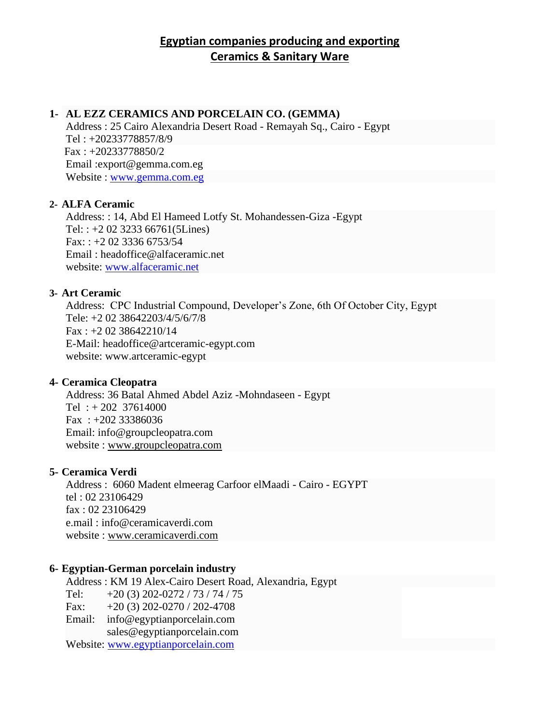## **Egyptian companies producing and exporting Ceramics & Sanitary Ware**

## **1- AL EZZ CERAMICS AND PORCELAIN CO. (GEMMA)**

Address : 25 Cairo Alexandria Desert Road - Remayah Sq., Cairo - Egypt Tel : +20233778857/8/9 Fax : +20233778850/2 Email :export@gemma.com.eg Website : [www.gemma.com.eg](http://www.gemma.com.eg/)

### **2- ALFA Ceramic**

Address: : 14, Abd El Hameed Lotfy St. Mohandessen-Giza -Egypt Tel: : +2 02 3233 66761(5Lines)  $Fax: : +2 02 3336 6753/54$ Email : headoffice@alfaceramic.net website: [www.alfaceramic.net](http://www.alfaceramic.net/)

## **3- Art Ceramic**

Address: CPC Industrial Compound, Developer's Zone, 6th Of October City, Egypt Tele: +2 02 38642203/4/5/6/7/8  $Fax: +2 02 38642210/14$ E-Mail: headoffice@artceramic-egypt.com website: www.artceramic-egypt

### **4- Ceramica Cleopatra**

Address: 36 Batal Ahmed Abdel Aziz -Mohndaseen - Egypt Tel :  $+202$  37614000 Fax : +202 33386036 Email: info@groupcleopatra.com website : www.groupcleopatra.com

### **5- Ceramica Verdi**

Address : 6060 Madent elmeerag Carfoor elMaadi - Cairo - EGYPT tel : 02 23106429 fax : 02 23106429 e.mail : info@ceramicaverdi.com website : www.ceramicaverdi.com

### **6- Egyptian-German porcelain industry**

Address : KM 19 Alex-Cairo Desert Road, Alexandria, Egypt Tel:  $+20(3) 202 - 0272 / 73 / 74 / 75$ Fax:  $+20(3)202-0270/202-4708$ Email: [info@egyptianporcelain.com](mailto:info@egyptianporcelain.com) [sales@egyptianporcelain.com](mailto:sales@egyptianporcelain.com) Website: [www.egyptianporcelain.com](http://www.egyptianporcelain.com/)